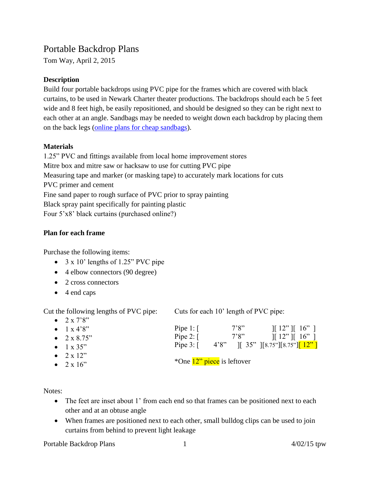# Portable Backdrop Plans

Tom Way, April 2, 2015

# **Description**

Build four portable backdrops using PVC pipe for the frames which are covered with black curtains, to be used in Newark Charter theater productions. The backdrops should each be 5 feet wide and 8 feet high, be easily repositioned, and should be designed so they can be right next to each other at an angle. Sandbags may be needed to weight down each backdrop by placing them on the back legs [\(online plans for cheap sandbags\)](http://petapixel.com/2013/06/13/these-2-50-diy-sandbags-will-keep-your-light-stands-steady-on-the-cheap/).

# **Materials**

1.25" PVC and fittings available from local home improvement stores Mitre box and mitre saw or hacksaw to use for cutting PVC pipe Measuring tape and marker (or masking tape) to accurately mark locations for cuts PVC primer and cement Fine sand paper to rough surface of PVC prior to spray painting Black spray paint specifically for painting plastic Four 5'x8' black curtains (purchased online?)

#### **Plan for each frame**

Purchase the following items:

- $\bullet$  3 x 10' lengths of 1.25" PVC pipe
- 4 elbow connectors (90 degree)
- 2 cross connectors
- 4 end caps

 $2 - 720$ 

Cut the following lengths of PVC pipe:

Cuts for each 10' length of PVC pipe:

| $\bullet$ $\angle$ X $\land$ O |                            |       |                                                                   |
|--------------------------------|----------------------------|-------|-------------------------------------------------------------------|
| • $1 \times 4'8''$             | Pipe $1: \lceil$           | 7'8'' | $\parallel$ 12" $\parallel$ 16" $\parallel$                       |
| • $2 \times 8.75$ "            | Pipe 2: $\lceil$           | 7'8'' | $\parallel$ 12" $\parallel$ 16" $\parallel$                       |
| • $1 \times 35$ "              | Pipe $3: \lceil$           |       | 4'8" $\begin{bmatrix} 35 \\ 35 \end{bmatrix}$ [8.75"][8.75"][12"] |
| • $2 \times 12$ "              |                            |       |                                                                   |
| $\bullet$ 2 x 16"              | *One 12" piece is leftover |       |                                                                   |

Notes:

- The feet are inset about 1' from each end so that frames can be positioned next to each other and at an obtuse angle
- When frames are positioned next to each other, small bulldog clips can be used to join curtains from behind to prevent light leakage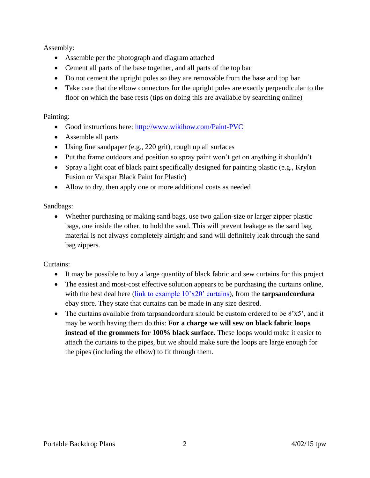Assembly:

- Assemble per the photograph and diagram attached
- Cement all parts of the base together, and all parts of the top bar
- Do not cement the upright poles so they are removable from the base and top bar
- Take care that the elbow connectors for the upright poles are exactly perpendicular to the floor on which the base rests (tips on doing this are available by searching online)

#### Painting:

- Good instructions here:<http://www.wikihow.com/Paint-PVC>
- Assemble all parts
- Using fine sandpaper (e.g., 220 grit), rough up all surfaces
- Put the frame outdoors and position so spray paint won't get on anything it shouldn't
- Spray a light coat of black paint specifically designed for painting plastic (e.g., Krylon Fusion or Valspar Black Paint for Plastic)
- Allow to dry, then apply one or more additional coats as needed

Sandbags:

 Whether purchasing or making sand bags, use two gallon-size or larger zipper plastic bags, one inside the other, to hold the sand. This will prevent leakage as the sand bag material is not always completely airtight and sand will definitely leak through the sand bag zippers.

# Curtains:

- It may be possible to buy a large quantity of black fabric and sew curtains for this project
- The easiest and most-cost effective solution appears to be purchasing the curtains online, with the best deal here (link to example  $10^{\circ}x20^{\circ}$  curtains), from the **tarpsandcordura** ebay store. They state that curtains can be made in any size desired.
- The curtains available from tarpsandcordura should be custom ordered to be  $8'x5'$ , and it may be worth having them do this: **For a charge we will sew on black fabric loops instead of the grommets for 100% black surface.** These loops would make it easier to attach the curtains to the pipes, but we should make sure the loops are large enough for the pipes (including the elbow) to fit through them.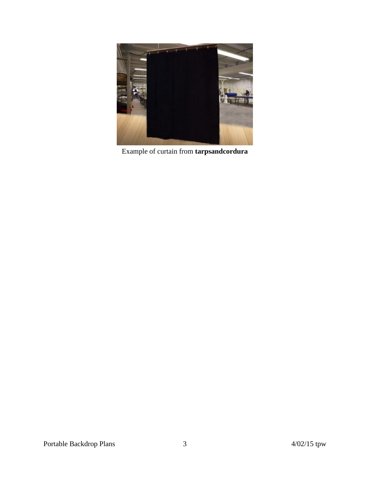

Example of curtain from **tarpsandcordura**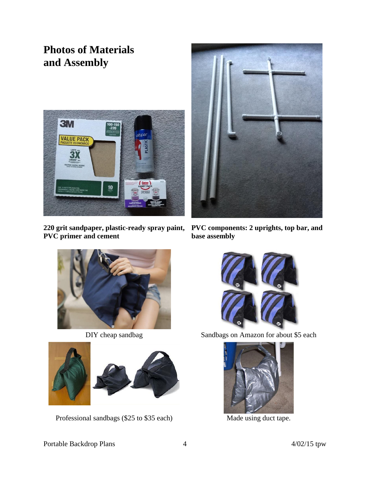# **Photos of Materials and Assembly**



**220 grit sandpaper, plastic-ready spray paint, PVC primer and cement**



**PVC components: 2 uprights, top bar, and base assembly**





Professional sandbags (\$25 to \$35 each) Made using duct tape.



DIY cheap sandbag Sandbags on Amazon for about \$5 each